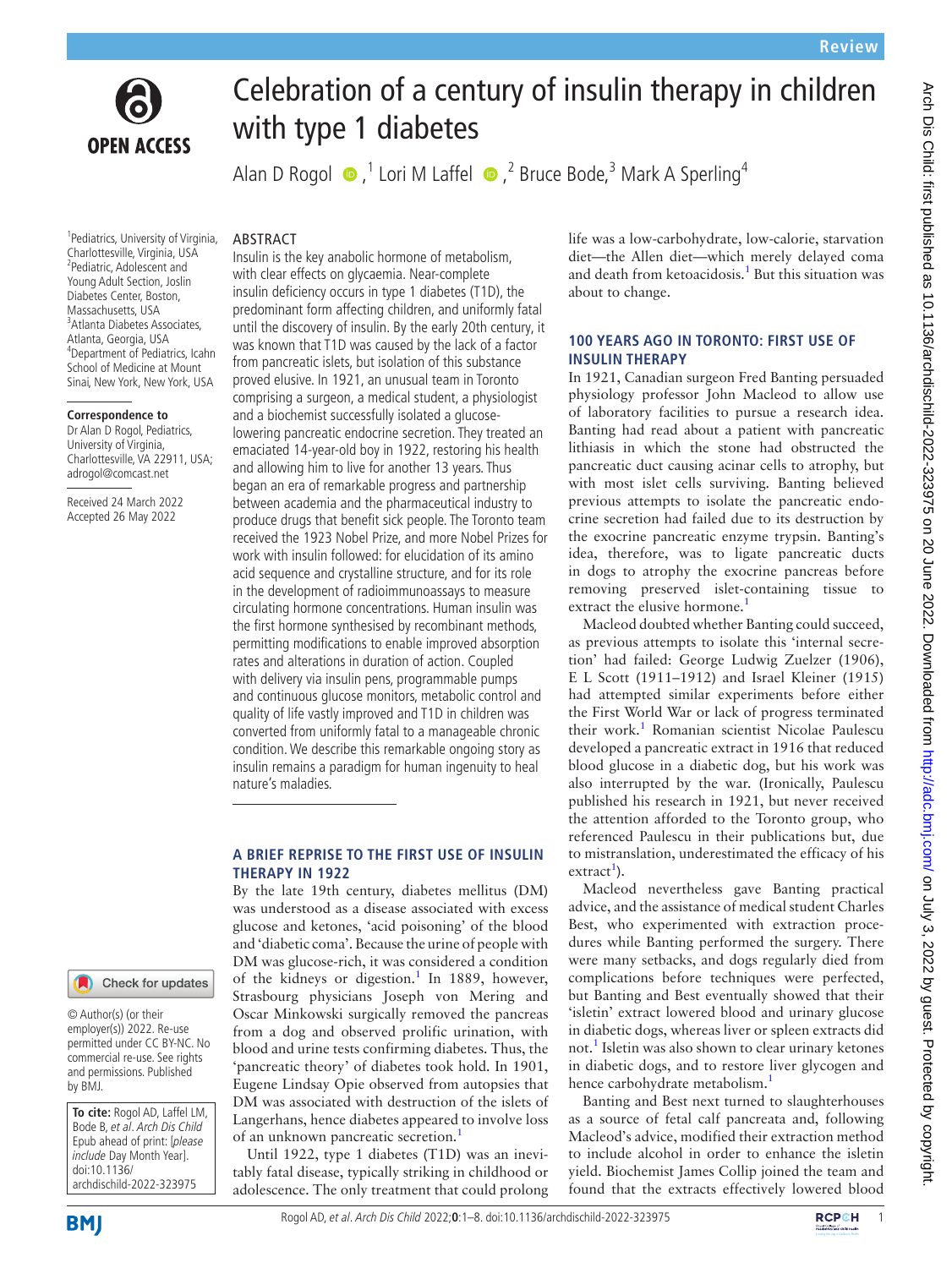

# **OPEN ACCESS**

# Celebration of a century of insulin therapy in children with type 1 diabetes

AlanD Rogol  $\bullet$  ,<sup>1</sup> Lori M Laffel  $\bullet$  ,<sup>2</sup> Bruce Bode,<sup>3</sup> Mark A Sperling<sup>4</sup>

#### ABSTRACT

1 Pediatrics, University of Virginia, Charlottesville, Virginia, USA 2 Pediatric, Adolescent and Young Adult Section, Joslin Diabetes Center, Boston, Massachusetts, USA 3 Atlanta Diabetes Associates, Atlanta, Georgia, USA 4 Department of Pediatrics, Icahn School of Medicine at Mount Sinai, New York, New York, USA

# **Correspondence to**

Dr Alan D Rogol, Pediatrics, University of Virginia, Charlottesville, VA 22911, USA; adrogol@comcast.net

Received 24 March 2022 Accepted 26 May 2022

Insulin is the key anabolic hormone of metabolism, with clear effects on glycaemia. Near-complete insulin deficiency occurs in type 1 diabetes (T1D), the predominant form affecting children, and uniformly fatal until the discovery of insulin. By the early 20th century, it was known that T1D was caused by the lack of a factor from pancreatic islets, but isolation of this substance proved elusive. In 1921, an unusual team in Toronto comprising a surgeon, a medical student, a physiologist and a biochemist successfully isolated a glucoselowering pancreatic endocrine secretion. They treated an emaciated 14-year-old boy in 1922, restoring his health and allowing him to live for another 13 years. Thus began an era of remarkable progress and partnership between academia and the pharmaceutical industry to produce drugs that benefit sick people. The Toronto team received the 1923 Nobel Prize, and more Nobel Prizes for work with insulin followed: for elucidation of its amino acid sequence and crystalline structure, and for its role in the development of radioimmunoassays to measure circulating hormone concentrations. Human insulin was the first hormone synthesised by recombinant methods, permitting modifications to enable improved absorption rates and alterations in duration of action. Coupled with delivery via insulin pens, programmable pumps and continuous glucose monitors, metabolic control and quality of life vastly improved and T1D in children was converted from uniformly fatal to a manageable chronic condition. We describe this remarkable ongoing story as insulin remains a paradigm for human ingenuity to heal nature's maladies.

# **A BRIEF REPRISE TO THE FIRST USE OF INSULIN THERAPY IN 1922**

By the late 19th century, diabetes mellitus (DM) was understood as a disease associated with excess glucose and ketones, 'acid poisoning' of the blood and 'diabetic coma'. Because the urine of people with DM was glucose-rich, it was considered a condition of the kidneys or digestion.<sup>[1](#page-7-0)</sup> In 1889, however, Strasbourg physicians Joseph von Mering and Oscar Minkowski surgically removed the pancreas from a dog and observed prolific urination, with blood and urine tests confirming diabetes. Thus, the 'pancreatic theory' of diabetes took hold. In 1901, Eugene Lindsay Opie observed from autopsies that DM was associated with destruction of the islets of Langerhans, hence diabetes appeared to involve loss of an unknown pancreatic secretion.<sup>1</sup>

Until 1922, type 1 diabetes (T1D) was an inevitably fatal disease, typically striking in childhood or adolescence. The only treatment that could prolong life was a low-carbohydrate, low-calorie, starvation diet—the Allen diet—which merely delayed coma and death from ketoacidosis.<sup>1</sup> But this situation was about to change.

### **100 YEARS AGO IN TORONTO: FIRST USE OF INSULIN THERAPY**

In 1921, Canadian surgeon Fred Banting persuaded physiology professor John Macleod to allow use of laboratory facilities to pursue a research idea. Banting had read about a patient with pancreatic lithiasis in which the stone had obstructed the pancreatic duct causing acinar cells to atrophy, but with most islet cells surviving. Banting believed previous attempts to isolate the pancreatic endocrine secretion had failed due to its destruction by the exocrine pancreatic enzyme trypsin. Banting's idea, therefore, was to ligate pancreatic ducts in dogs to atrophy the exocrine pancreas before removing preserved islet-containing tissue to extract the elusive hormone.<sup>[1](#page-7-0)</sup>

Macleod doubted whether Banting could succeed, as previous attempts to isolate this 'internal secretion' had failed: George Ludwig Zuelzer (1906), E L Scott (1911–1912) and Israel Kleiner (1915) had attempted similar experiments before either the First World War or lack of progress terminated their work.<sup>[1](#page-7-0)</sup> Romanian scientist Nicolae Paulescu developed a pancreatic extract in 1916 that reduced blood glucose in a diabetic dog, but his work was also interrupted by the war. (Ironically, Paulescu published his research in 1921, but never received the attention afforded to the Toronto group, who referenced Paulescu in their publications but, due to mistranslation, underestimated the efficacy of his extract<sup>1</sup>).

Macleod nevertheless gave Banting practical advice, and the assistance of medical student Charles Best, who experimented with extraction procedures while Banting performed the surgery. There were many setbacks, and dogs regularly died from complications before techniques were perfected, but Banting and Best eventually showed that their 'isletin' extract lowered blood and urinary glucose in diabetic dogs, whereas liver or spleen extracts did not.<sup>1</sup> Isletin was also shown to clear urinary ketones in diabetic dogs, and to restore liver glycogen and hence carbohydrate metabolism.<sup>[1](#page-7-0)</sup>

Banting and Best next turned to slaughterhouses as a source of fetal calf pancreata and, following Macleod's advice, modified their extraction method to include alcohol in order to enhance the isletin yield. Biochemist James Collip joined the team and found that the extracts effectively lowered blood



© Author(s) (or their employer(s)) 2022. Re-use permitted under CC BY-NC. No commercial re-use. See rights and permissions. Published by BMJ.

**To cite:** Rogol AD, Laffel LM, Bode B, et al. Arch Dis Child Epub ahead of print: [please include Day Month Year]. doi:10.1136/ archdischild-2022-323975



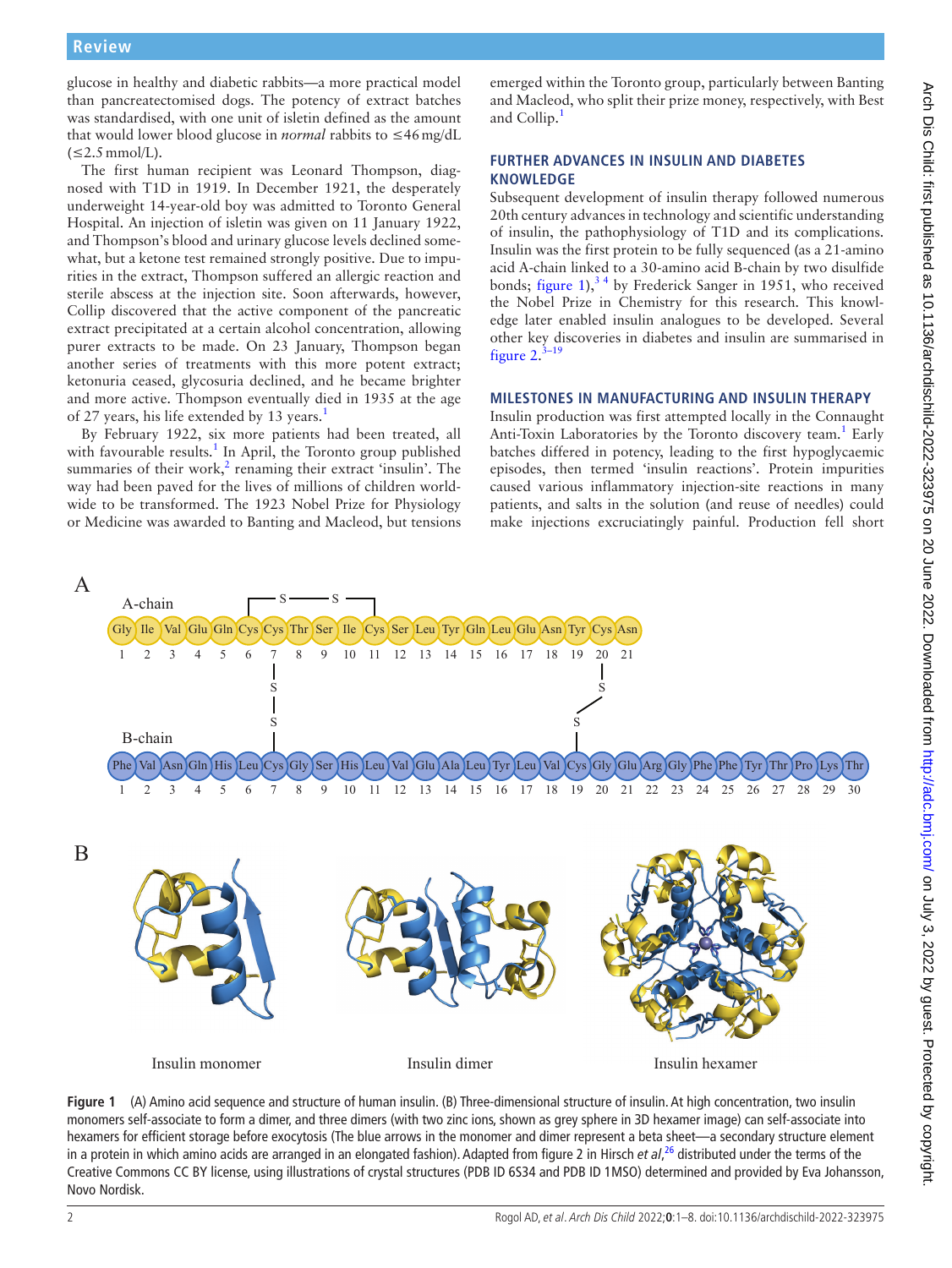glucose in healthy and diabetic rabbits—a more practical model than pancreatectomised dogs. The potency of extract batches was standardised, with one unit of isletin defined as the amount that would lower blood glucose in *normal* rabbits to ≤46mg/dL  $(\leq 2.5 \text{mmol/L}).$ 

The first human recipient was Leonard Thompson, diagnosed with T1D in 1919. In December 1921, the desperately underweight 14-year-old boy was admitted to Toronto General Hospital. An injection of isletin was given on 11 January 1922, and Thompson's blood and urinary glucose levels declined somewhat, but a ketone test remained strongly positive. Due to impurities in the extract, Thompson suffered an allergic reaction and sterile abscess at the injection site. Soon afterwards, however, Collip discovered that the active component of the pancreatic extract precipitated at a certain alcohol concentration, allowing purer extracts to be made. On 23 January, Thompson began another series of treatments with this more potent extract; ketonuria ceased, glycosuria declined, and he became brighter and more active. Thompson eventually died in 1935 at the age of 27 years, his life extended by [1](#page-7-0)3 years.<sup>1</sup>

By February 1922, six more patients had been treated, all with favourable results.<sup>1</sup> In April, the Toronto group published summaries of their work, $<sup>2</sup>$  $<sup>2</sup>$  $<sup>2</sup>$  renaming their extract 'insulin'. The</sup> way had been paved for the lives of millions of children worldwide to be transformed. The 1923 Nobel Prize for Physiology or Medicine was awarded to Banting and Macleod, but tensions

emerged within the Toronto group, particularly between Banting and Macleod, who split their prize money, respectively, with Best and Collip.<sup>[1](#page-7-0)</sup>

# **FURTHER ADVANCES IN INSULIN AND DIABETES KNOWLEDGE**

Subsequent development of insulin therapy followed numerous 20th century advances in technology and scientific understanding of insulin, the pathophysiology of T1D and its complications. Insulin was the first protein to be fully sequenced (as a 21-amino acid A-chain linked to a 30-amino acid B-chain by two disulfide bonds; [figure](#page-1-0)  $1$ ),<sup>34</sup> by Frederick Sanger in 1951, who received the Nobel Prize in Chemistry for this research. This knowledge later enabled insulin analogues to be developed. Several other key discoveries in diabetes and insulin are summarised in [figure](#page-2-0)  $2.^{3-19}$ 

# **MILESTONES IN MANUFACTURING AND INSULIN THERAPY**

Insulin production was first attempted locally in the Connaught Anti-Toxin Laboratories by the Toronto discovery team.<sup>1</sup> Early batches differed in potency, leading to the first hypoglycaemic episodes, then termed 'insulin reactions'. Protein impurities caused various inflammatory injection-site reactions in many patients, and salts in the solution (and reuse of needles) could make injections excruciatingly painful. Production fell short



<span id="page-1-0"></span>**Figure 1** (A) Amino acid sequence and structure of human insulin. (B) Three-dimensional structure of insulin. At high concentration, two insulin monomers self-associate to form a dimer, and three dimers (with two zinc ions, shown as grey sphere in 3D hexamer image) can self-associate into hexamers for efficient storage before exocytosis (The blue arrows in the monomer and dimer represent a beta sheet—a secondary structure element in a protein in which amino acids are arranged in an elongated fashion). Adapted from figure 2 in Hirsch *et al*, [26](#page-7-3) distributed under the terms of the Creative Commons CC BY license, using illustrations of crystal structures (PDB ID 6S34 and PDB ID 1MSO) determined and provided by Eva Johansson, Novo Nordisk.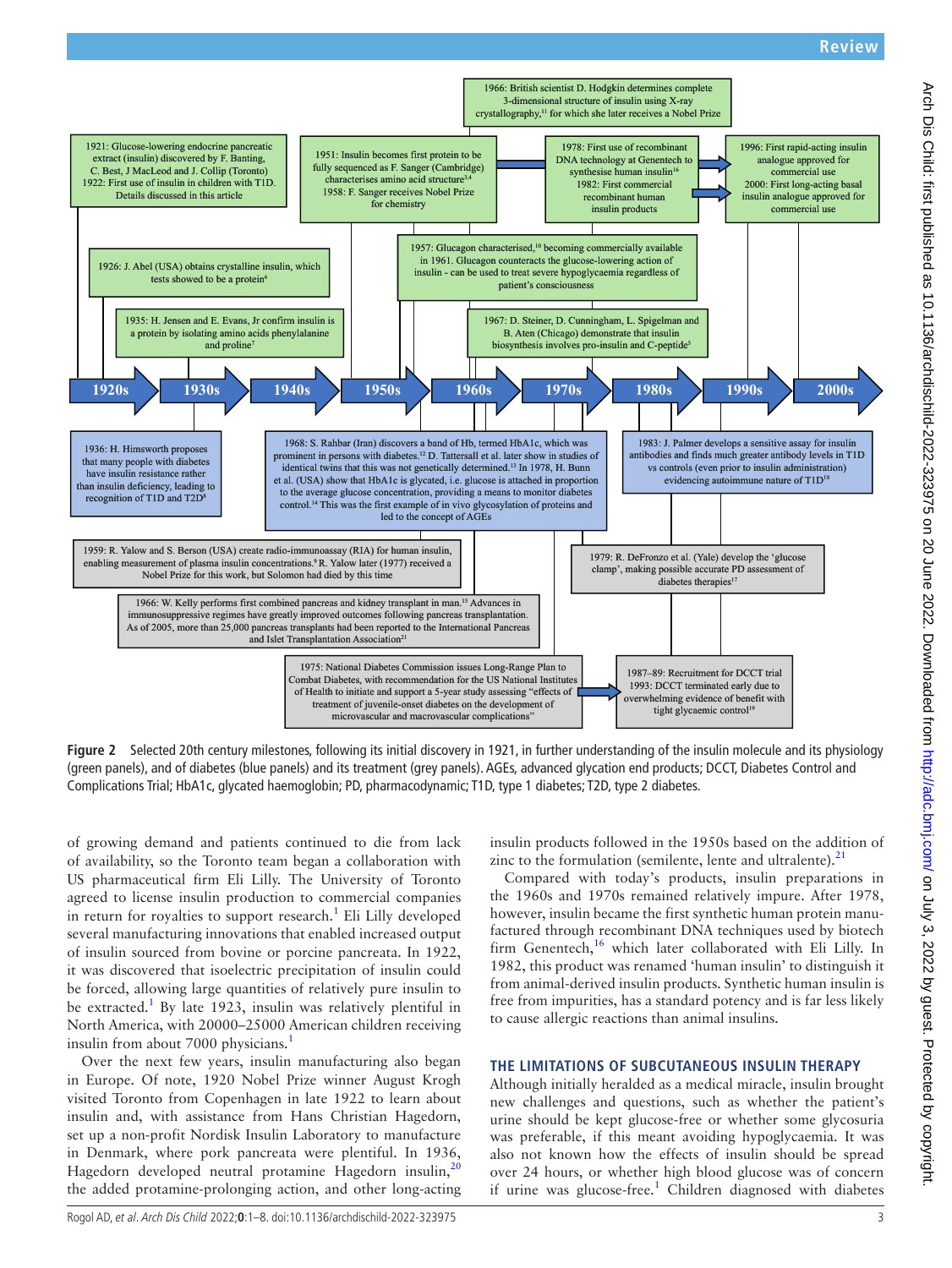

<span id="page-2-0"></span>**Figure 2** Selected 20th century milestones, following its initial discovery in 1921, in further understanding of the insulin molecule and its physiology (green panels), and of diabetes (blue panels) and its treatment (grey panels). AGEs, advanced glycation end products; DCCT, Diabetes Control and Complications Trial; HbA1c, glycated haemoglobin; PD, pharmacodynamic; T1D, type 1 diabetes; T2D, type 2 diabetes.

of growing demand and patients continued to die from lack of availability, so the Toronto team began a collaboration with US pharmaceutical firm Eli Lilly. The University of Toronto agreed to license insulin production to commercial companies in return for royalties to support research.<sup>[1](#page-7-0)</sup> Eli Lilly developed several manufacturing innovations that enabled increased output of insulin sourced from bovine or porcine pancreata. In 1922, it was discovered that isoelectric precipitation of insulin could be forced, allowing large quantities of relatively pure insulin to be extracted.<sup>1</sup> By late 1923, insulin was relatively plentiful in North America, with 20000–25000 American children receiving insulin from about 7000 physicians.<sup>1</sup>

Over the next few years, insulin manufacturing also began in Europe. Of note, 1920 Nobel Prize winner August Krogh visited Toronto from Copenhagen in late 1922 to learn about insulin and, with assistance from Hans Christian Hagedorn, set up a non-profit Nordisk Insulin Laboratory to manufacture in Denmark, where pork pancreata were plentiful. In 1936, Hagedorn developed neutral protamine Hagedorn insulin, $^{20}$  $^{20}$  $^{20}$ the added protamine-prolonging action, and other long-acting

insulin products followed in the 1950s based on the addition of zinc to the formulation (semilente, lente and ultralente). $2<sup>2</sup>$ 

Compared with today's products, insulin preparations in the 1960s and 1970s remained relatively impure. After 1978, however, insulin became the first synthetic human protein manufactured through recombinant DNA techniques used by biotech firm Genentech,<sup>[16](#page-7-6)</sup> which later collaborated with Eli Lilly. In 1982, this product was renamed 'human insulin' to distinguish it from animal-derived insulin products. Synthetic human insulin is free from impurities, has a standard potency and is far less likely to cause allergic reactions than animal insulins.

#### **THE LIMITATIONS OF SUBCUTANEOUS INSULIN THERAPY**

Although initially heralded as a medical miracle, insulin brought new challenges and questions, such as whether the patient's urine should be kept glucose-free or whether some glycosuria was preferable, if this meant avoiding hypoglycaemia. It was also not known how the effects of insulin should be spread over 24 hours, or whether high blood glucose was of concern if urine was glucose-free.<sup>[1](#page-7-0)</sup> Children diagnosed with diabetes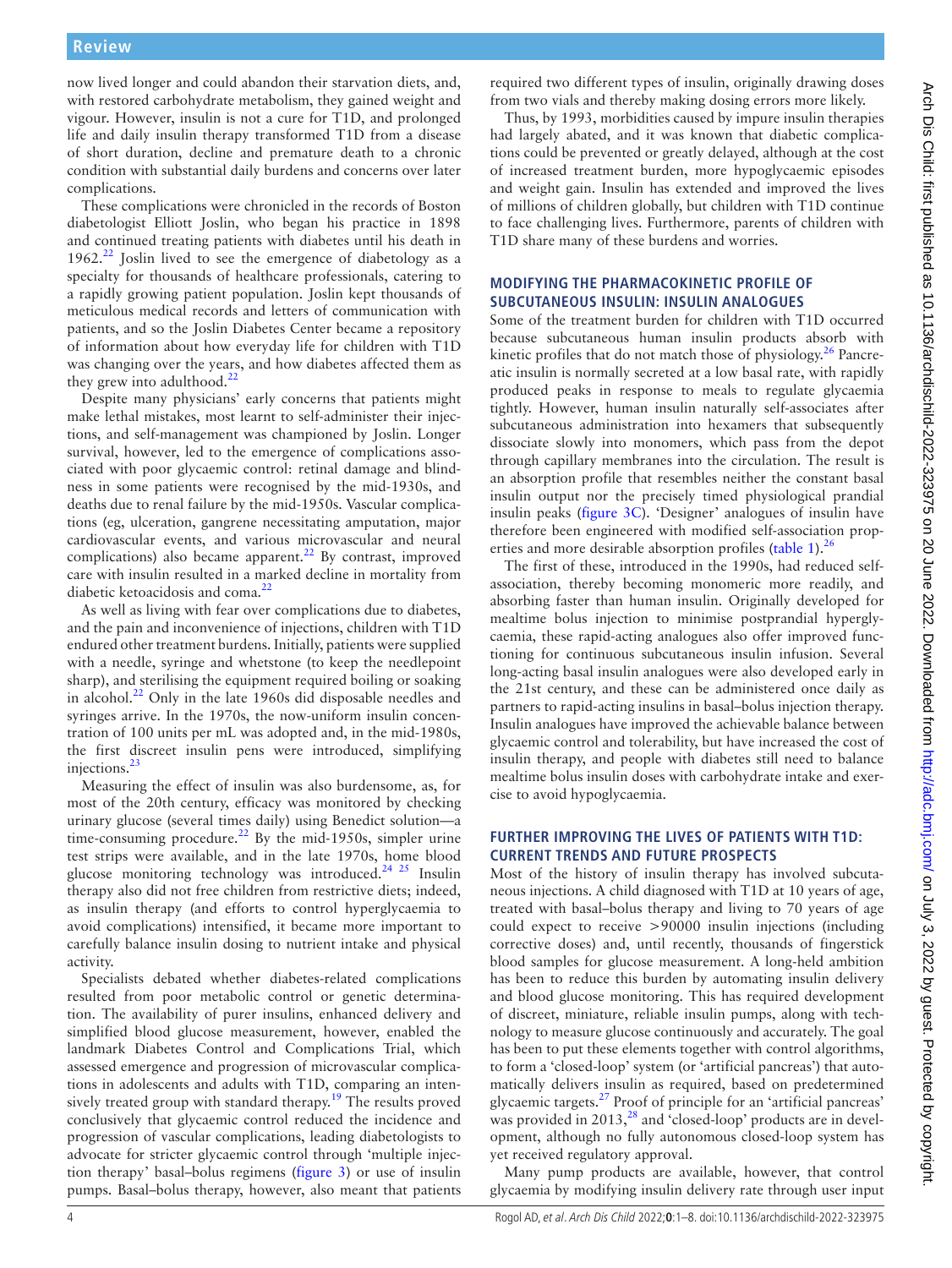now lived longer and could abandon their starvation diets, and, with restored carbohydrate metabolism, they gained weight and vigour. However, insulin is not a cure for T1D, and prolonged life and daily insulin therapy transformed T1D from a disease of short duration, decline and premature death to a chronic condition with substantial daily burdens and concerns over later complications.

These complications were chronicled in the records of Boston diabetologist Elliott Joslin, who began his practice in 1898 and continued treating patients with diabetes until his death in  $1962<sup>22</sup>$  $1962<sup>22</sup>$  $1962<sup>22</sup>$  Joslin lived to see the emergence of diabetology as a specialty for thousands of healthcare professionals, catering to a rapidly growing patient population. Joslin kept thousands of meticulous medical records and letters of communication with patients, and so the Joslin Diabetes Center became a repository of information about how everyday life for children with T1D was changing over the years, and how diabetes affected them as they grew into adulthood.<sup>[22](#page-7-7)</sup>

Despite many physicians' early concerns that patients might make lethal mistakes, most learnt to self-administer their injections, and self-management was championed by Joslin. Longer survival, however, led to the emergence of complications associated with poor glycaemic control: retinal damage and blindness in some patients were recognised by the mid-1930s, and deaths due to renal failure by the mid-1950s. Vascular complications (eg, ulceration, gangrene necessitating amputation, major cardiovascular events, and various microvascular and neural complications) also became apparent. $^{22}$  By contrast, improved care with insulin resulted in a marked decline in mortality from diabetic ketoacidosis and coma.<sup>[22](#page-7-7)</sup>

As well as living with fear over complications due to diabetes, and the pain and inconvenience of injections, children with T1D endured other treatment burdens. Initially, patients were supplied with a needle, syringe and whetstone (to keep the needlepoint sharp), and sterilising the equipment required boiling or soaking in alcohol. $^{22}$  Only in the late 1960s did disposable needles and syringes arrive. In the 1970s, the now-uniform insulin concentration of 100 units per mL was adopted and, in the mid-1980s, the first discreet insulin pens were introduced, simplifying injections.<sup>23</sup>

Measuring the effect of insulin was also burdensome, as, for most of the 20th century, efficacy was monitored by checking urinary glucose (several times daily) using Benedict solution—a time-consuming procedure.<sup>22</sup> By the mid-1950s, simpler urine test strips were available, and in the late 1970s, home blood glucose monitoring technology was introduced.<sup>24</sup> <sup>25</sup> Insulin therapy also did not free children from restrictive diets; indeed, as insulin therapy (and efforts to control hyperglycaemia to avoid complications) intensified, it became more important to carefully balance insulin dosing to nutrient intake and physical activity.

Specialists debated whether diabetes-related complications resulted from poor metabolic control or genetic determination. The availability of purer insulins, enhanced delivery and simplified blood glucose measurement, however, enabled the landmark Diabetes Control and Complications Trial, which assessed emergence and progression of microvascular complications in adolescents and adults with T1D, comparing an intensively treated group with standard therapy.<sup>19</sup> The results proved conclusively that glycaemic control reduced the incidence and progression of vascular complications, leading diabetologists to advocate for stricter glycaemic control through 'multiple injection therapy' basal–bolus regimens [\(figure](#page-4-0) 3) or use of insulin pumps. Basal–bolus therapy, however, also meant that patients

required two different types of insulin, originally drawing doses from two vials and thereby making dosing errors more likely.

Thus, by 1993, morbidities caused by impure insulin therapies had largely abated, and it was known that diabetic complications could be prevented or greatly delayed, although at the cost of increased treatment burden, more hypoglycaemic episodes and weight gain. Insulin has extended and improved the lives of millions of children globally, but children with T1D continue to face challenging lives. Furthermore, parents of children with T1D share many of these burdens and worries.

# **MODIFYING THE PHARMACOKINETIC PROFILE OF SUBCUTANEOUS INSULIN: INSULIN ANALOGUES**

Some of the treatment burden for children with T1D occurred because subcutaneous human insulin products absorb with kinetic profiles that do not match those of physiology. $^{26}$  $^{26}$  $^{26}$  Pancreatic insulin is normally secreted at a low basal rate, with rapidly produced peaks in response to meals to regulate glycaemia tightly. However, human insulin naturally self-associates after subcutaneous administration into hexamers that subsequently dissociate slowly into monomers, which pass from the depot through capillary membranes into the circulation. The result is an absorption profile that resembles neither the constant basal insulin output nor the precisely timed physiological prandial insulin peaks ([figure](#page-4-0) 3C). 'Designer' analogues of insulin have therefore been engineered with modified self-association prop-erties and more desirable absorption profiles [\(table](#page-5-0) 1). $^{26}$  $^{26}$  $^{26}$ 

The first of these, introduced in the 1990s, had reduced selfassociation, thereby becoming monomeric more readily, and absorbing faster than human insulin. Originally developed for mealtime bolus injection to minimise postprandial hyperglycaemia, these rapid-acting analogues also offer improved functioning for continuous subcutaneous insulin infusion. Several long-acting basal insulin analogues were also developed early in the 21st century, and these can be administered once daily as partners to rapid-acting insulins in basal–bolus injection therapy. Insulin analogues have improved the achievable balance between glycaemic control and tolerability, but have increased the cost of insulin therapy, and people with diabetes still need to balance mealtime bolus insulin doses with carbohydrate intake and exercise to avoid hypoglycaemia.

# **FURTHER IMPROVING THE LIVES OF PATIENTS WITH T1D: CURRENT TRENDS AND FUTURE PROSPECTS**

Most of the history of insulin therapy has involved subcutaneous injections. A child diagnosed with T1D at 10 years of age, treated with basal–bolus therapy and living to 70 years of age could expect to receive >90000 insulin injections (including corrective doses) and, until recently, thousands of fingerstick blood samples for glucose measurement. A long-held ambition has been to reduce this burden by automating insulin delivery and blood glucose monitoring. This has required development of discreet, miniature, reliable insulin pumps, along with technology to measure glucose continuously and accurately. The goal has been to put these elements together with control algorithms, to form a 'closed-loop' system (or 'artificial pancreas') that automatically delivers insulin as required, based on predetermined glycaemic targets.[27](#page-7-11) Proof of principle for an 'artificial pancreas' was provided in  $2013<sup>28</sup>$  $2013<sup>28</sup>$  $2013<sup>28</sup>$  and 'closed-loop' products are in development, although no fully autonomous closed-loop system has yet received regulatory approval.

Many pump products are available, however, that control glycaemia by modifying insulin delivery rate through user input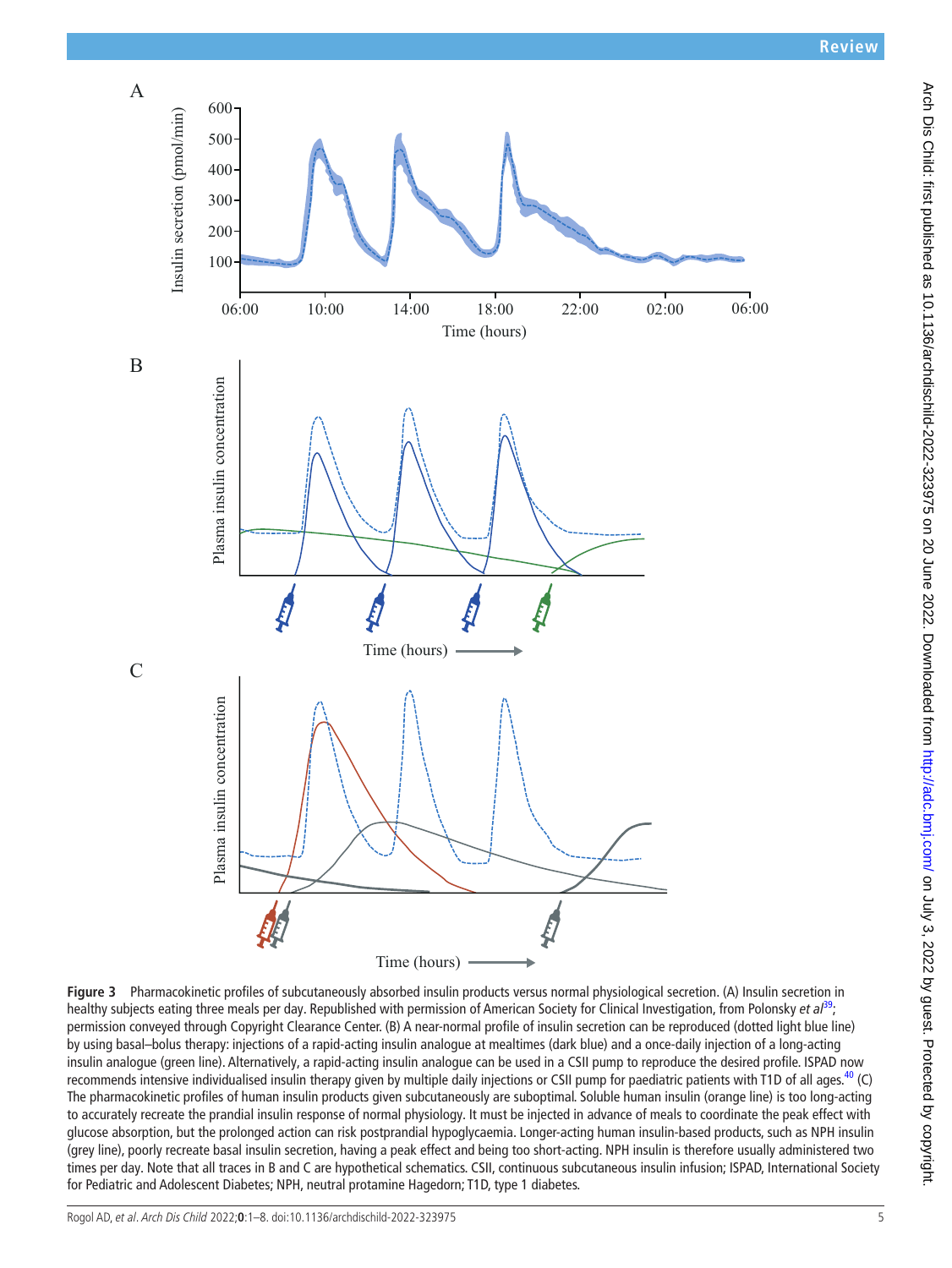

<span id="page-4-0"></span>**Figure 3** Pharmacokinetic profiles of subcutaneously absorbed insulin products versus normal physiological secretion. (A) Insulin secretion in healthy subjects eating three meals per day. Republished with permission of American Society for Clinical Investigation, from Polonsky *et al*[39](#page-7-13); permission conveyed through Copyright Clearance Center. (B) A near-normal profile of insulin secretion can be reproduced (dotted light blue line) by using basal–bolus therapy: injections of a rapid-acting insulin analogue at mealtimes (dark blue) and a once-daily injection of a long-acting insulin analogue (green line). Alternatively, a rapid-acting insulin analogue can be used in a CSII pump to reproduce the desired profile. ISPAD now recommends intensive individualised insulin therapy given by multiple daily injections or CSII pump for paediatric patients with T1D of all ages.<sup>[40](#page-7-14)</sup> (C) The pharmacokinetic profiles of human insulin products given subcutaneously are suboptimal. Soluble human insulin (orange line) is too long-acting to accurately recreate the prandial insulin response of normal physiology. It must be injected in advance of meals to coordinate the peak effect with glucose absorption, but the prolonged action can risk postprandial hypoglycaemia. Longer-acting human insulin-based products, such as NPH insulin (grey line), poorly recreate basal insulin secretion, having a peak effect and being too short-acting. NPH insulin is therefore usually administered two times per day. Note that all traces in B and C are hypothetical schematics. CSII, continuous subcutaneous insulin infusion; ISPAD, International Society for Pediatric and Adolescent Diabetes; NPH, neutral protamine Hagedorn; T1D, type 1 diabetes.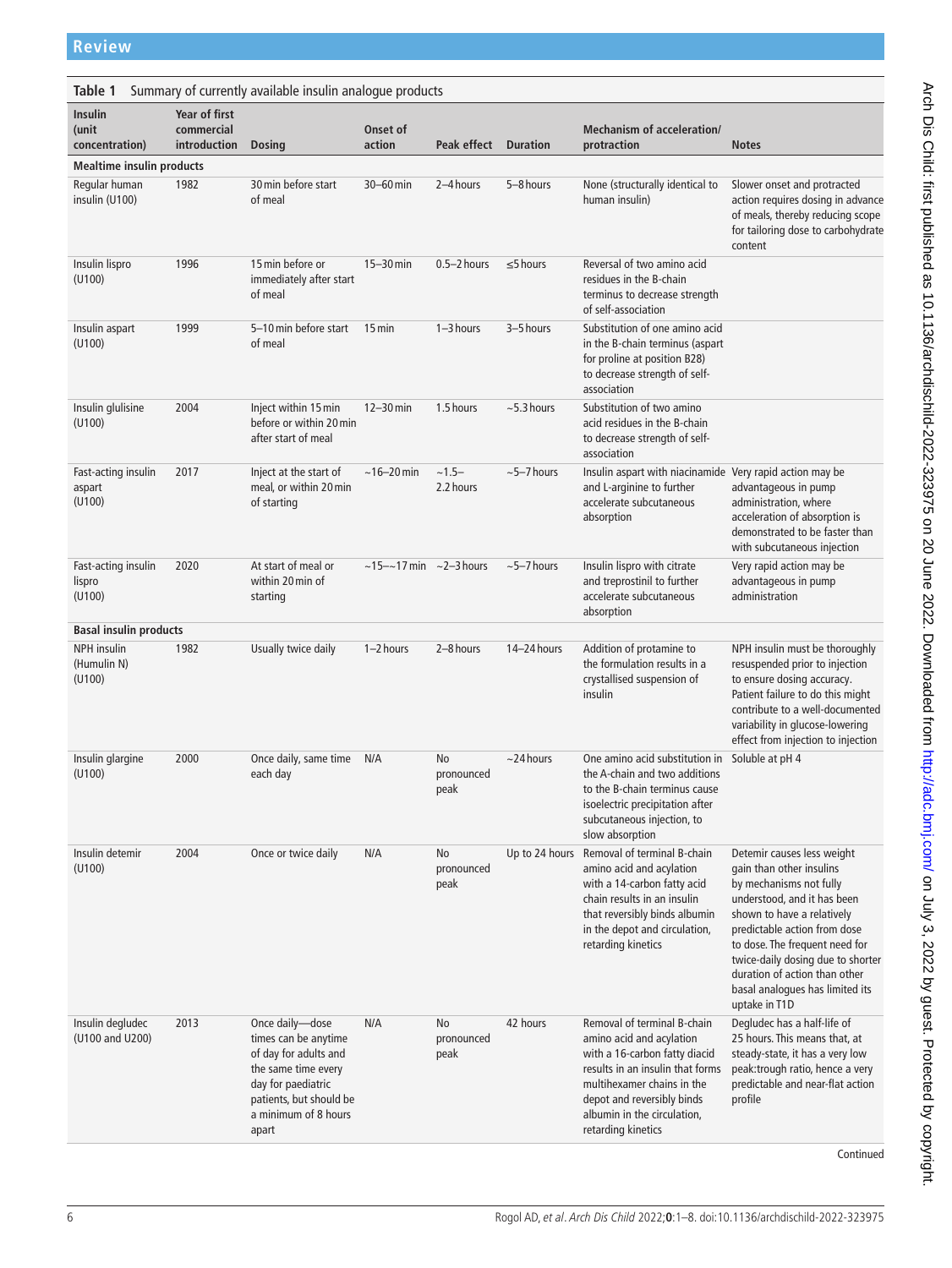<span id="page-5-0"></span>

| Table 1<br>Summary of currently available insulin analogue products |                                             |                                                                                                                                                                           |                                           |                          |                  |                                                                                                                                                                                                                                               |                                                                                                                                                                                                                                                                                                                                            |  |  |  |  |
|---------------------------------------------------------------------|---------------------------------------------|---------------------------------------------------------------------------------------------------------------------------------------------------------------------------|-------------------------------------------|--------------------------|------------------|-----------------------------------------------------------------------------------------------------------------------------------------------------------------------------------------------------------------------------------------------|--------------------------------------------------------------------------------------------------------------------------------------------------------------------------------------------------------------------------------------------------------------------------------------------------------------------------------------------|--|--|--|--|
| Insulin<br>(unit<br>concentration)                                  | Year of first<br>commercial<br>introduction | <b>Dosing</b>                                                                                                                                                             | Onset of<br>action                        | Peak effect              | <b>Duration</b>  | <b>Mechanism of acceleration/</b><br>protraction                                                                                                                                                                                              | <b>Notes</b>                                                                                                                                                                                                                                                                                                                               |  |  |  |  |
| <b>Mealtime insulin products</b>                                    |                                             |                                                                                                                                                                           |                                           |                          |                  |                                                                                                                                                                                                                                               |                                                                                                                                                                                                                                                                                                                                            |  |  |  |  |
| Regular human<br>insulin (U100)                                     | 1982                                        | 30 min before start<br>of meal                                                                                                                                            | $30-60$ min                               | 2-4 hours                | 5-8 hours        | None (structurally identical to<br>human insulin)                                                                                                                                                                                             | Slower onset and protracted<br>action requires dosing in advance<br>of meals, thereby reducing scope<br>for tailoring dose to carbohydrate<br>content                                                                                                                                                                                      |  |  |  |  |
| Insulin lispro<br>(U100)                                            | 1996                                        | 15 min before or<br>immediately after start<br>of meal                                                                                                                    | $15-30$ min                               | $0.5 - 2$ hours          | $\leq$ 5 hours   | Reversal of two amino acid<br>residues in the B-chain<br>terminus to decrease strength<br>of self-association                                                                                                                                 |                                                                                                                                                                                                                                                                                                                                            |  |  |  |  |
| Insulin aspart<br>(U100)                                            | 1999                                        | 5-10 min before start<br>of meal                                                                                                                                          | $15$ min                                  | $1 - 3$ hours            | 3-5 hours        | Substitution of one amino acid<br>in the B-chain terminus (aspart<br>for proline at position B28)<br>to decrease strength of self-<br>association                                                                                             |                                                                                                                                                                                                                                                                                                                                            |  |  |  |  |
| Insulin glulisine<br>(U100)                                         | 2004                                        | Inject within 15 min<br>before or within 20 min<br>after start of meal                                                                                                    | $12 - 30$ min                             | 1.5 hours                | $\sim$ 5.3 hours | Substitution of two amino<br>acid residues in the B-chain<br>to decrease strength of self-<br>association                                                                                                                                     |                                                                                                                                                                                                                                                                                                                                            |  |  |  |  |
| Fast-acting insulin<br>aspart<br>(U100)                             | 2017                                        | Inject at the start of<br>meal, or within 20 min<br>of starting                                                                                                           | $~16 - 20$ min                            | $~1.5-$<br>2.2 hours     | $~5 - 7$ hours   | Insulin aspart with niacinamide Very rapid action may be<br>and L-arginine to further<br>accelerate subcutaneous<br>absorption                                                                                                                | advantageous in pump<br>administration, where<br>acceleration of absorption is<br>demonstrated to be faster than<br>with subcutaneous injection                                                                                                                                                                                            |  |  |  |  |
| Fast-acting insulin<br>lispro<br>(U100)                             | 2020                                        | At start of meal or<br>within 20 min of<br>starting                                                                                                                       | $\sim$ 15- $\sim$ 17 min $\sim$ 2-3 hours |                          | $~5 - 7$ hours   | Insulin lispro with citrate<br>and treprostinil to further<br>accelerate subcutaneous<br>absorption                                                                                                                                           | Very rapid action may be<br>advantageous in pump<br>administration                                                                                                                                                                                                                                                                         |  |  |  |  |
| <b>Basal insulin products</b>                                       |                                             |                                                                                                                                                                           |                                           |                          |                  |                                                                                                                                                                                                                                               |                                                                                                                                                                                                                                                                                                                                            |  |  |  |  |
| <b>NPH</b> insulin<br>(Humulin N)<br>(U100)                         | 1982                                        | Usually twice daily                                                                                                                                                       | 1-2 hours                                 | 2-8 hours                | 14-24 hours      | Addition of protamine to<br>the formulation results in a<br>crystallised suspension of<br>insulin                                                                                                                                             | NPH insulin must be thoroughly<br>resuspended prior to injection<br>to ensure dosing accuracy.<br>Patient failure to do this might<br>contribute to a well-documented<br>variability in glucose-lowering<br>effect from injection to injection                                                                                             |  |  |  |  |
| Insulin glargine<br>(U100)                                          | 2000                                        | Once daily, same time<br>each day                                                                                                                                         | N/A                                       | No<br>pronounced<br>peak | $\sim$ 24 hours  | One amino acid substitution in<br>the A-chain and two additions<br>to the B-chain terminus cause<br>isoelectric precipitation after<br>subcutaneous injection, to<br>slow absorption                                                          | Soluble at pH 4                                                                                                                                                                                                                                                                                                                            |  |  |  |  |
| Insulin detemir<br>(U100)                                           | 2004                                        | Once or twice daily                                                                                                                                                       | N/A                                       | No<br>pronounced<br>peak |                  | Up to 24 hours Removal of terminal B-chain<br>amino acid and acylation<br>with a 14-carbon fatty acid<br>chain results in an insulin<br>that reversibly binds albumin<br>in the depot and circulation,<br>retarding kinetics                  | Detemir causes less weight<br>gain than other insulins<br>by mechanisms not fully<br>understood, and it has been<br>shown to have a relatively<br>predictable action from dose<br>to dose. The frequent need for<br>twice-daily dosing due to shorter<br>duration of action than other<br>basal analogues has limited its<br>uptake in T1D |  |  |  |  |
| Insulin degludec<br>(U100 and U200)                                 | 2013                                        | Once daily-dose<br>times can be anytime<br>of day for adults and<br>the same time every<br>day for paediatric<br>patients, but should be<br>a minimum of 8 hours<br>apart | N/A                                       | No<br>pronounced<br>peak | 42 hours         | Removal of terminal B-chain<br>amino acid and acylation<br>with a 16-carbon fatty diacid<br>results in an insulin that forms<br>multihexamer chains in the<br>depot and reversibly binds<br>albumin in the circulation,<br>retarding kinetics | Degludec has a half-life of<br>25 hours. This means that, at<br>steady-state, it has a very low<br>peak:trough ratio, hence a very<br>predictable and near-flat action<br>profile                                                                                                                                                          |  |  |  |  |
|                                                                     |                                             |                                                                                                                                                                           |                                           |                          |                  |                                                                                                                                                                                                                                               | Continued                                                                                                                                                                                                                                                                                                                                  |  |  |  |  |

Arch Dis Child: first published as 10.1136/archdischild-2022-323975 on 20 June 2022. Downloaded from http://adc.bm/ on July 3, 2022 by guest. Protected by copyright. Arch Dis Child: first published as 10.1136/archdischild-2022-323975 on 20 June 2022. Downloaded from <http://adc.bmj.com/> on July 3, 2022 by guest. Protected by copyright.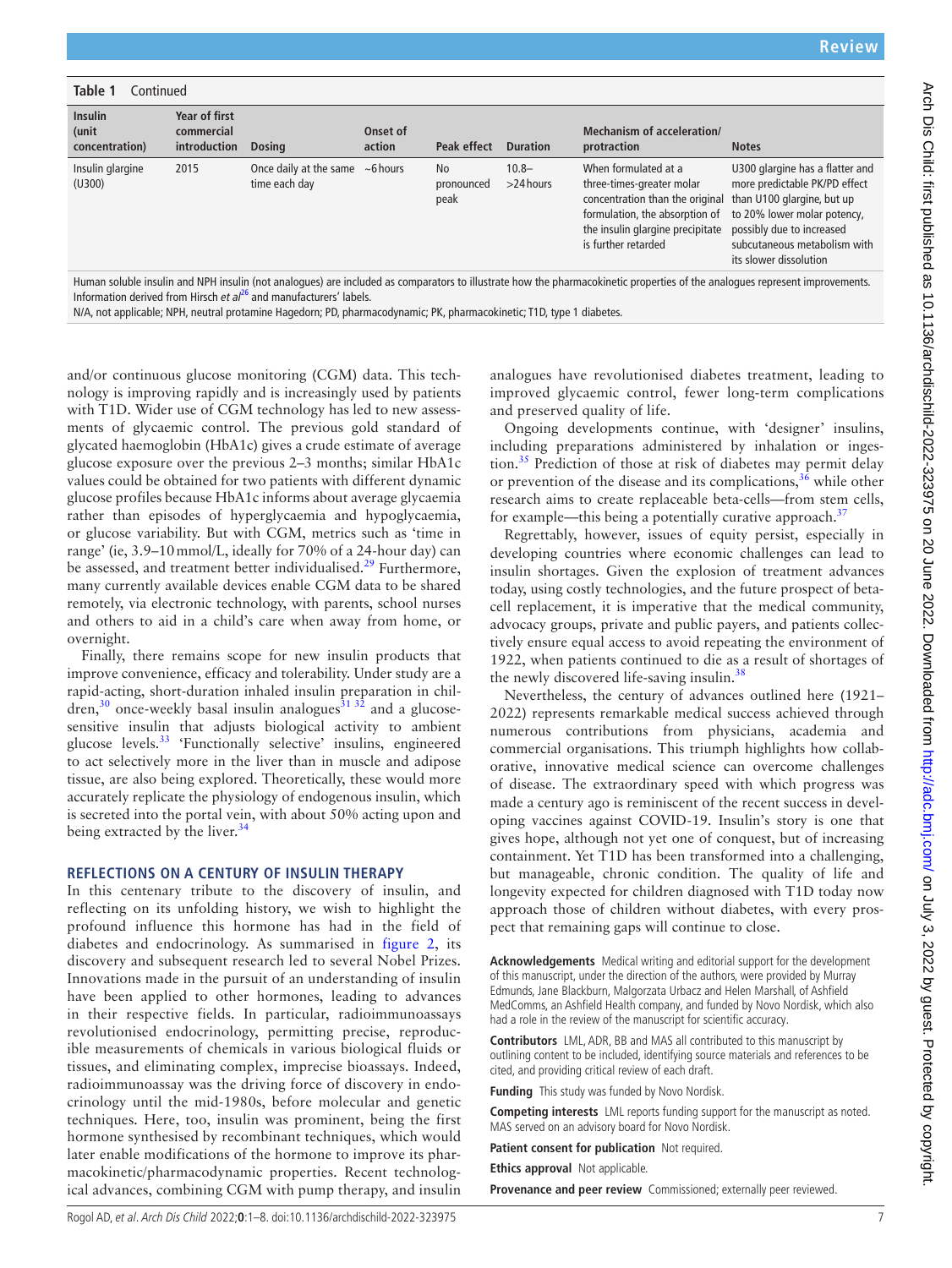| Table 1<br>Continued                      |                                             |                                                         |                    |                                 |                          |                                                                                                                                                                                                                                               |                                                                                                                                                         |  |  |  |  |
|-------------------------------------------|---------------------------------------------|---------------------------------------------------------|--------------------|---------------------------------|--------------------------|-----------------------------------------------------------------------------------------------------------------------------------------------------------------------------------------------------------------------------------------------|---------------------------------------------------------------------------------------------------------------------------------------------------------|--|--|--|--|
| <b>Insulin</b><br>(unit<br>concentration) | Year of first<br>commercial<br>introduction | <b>Dosing</b>                                           | Onset of<br>action | Peak effect                     | <b>Duration</b>          | <b>Mechanism of acceleration/</b><br>protraction                                                                                                                                                                                              | <b>Notes</b>                                                                                                                                            |  |  |  |  |
| Insulin glargine<br>(U300)                | 2015                                        | Once daily at the same $~\sim 6$ hours<br>time each day |                    | <b>No</b><br>pronounced<br>peak | $10.8 -$<br>$>$ 24 hours | When formulated at a<br>three-times-greater molar<br>concentration than the original than U100 glargine, but up<br>formulation, the absorption of to 20% lower molar potency,<br>the insulin glargine precipitate<br>is further retarded      | U300 glargine has a flatter and<br>more predictable PK/PD effect<br>possibly due to increased<br>subcutaneous metabolism with<br>its slower dissolution |  |  |  |  |
|                                           |                                             |                                                         |                    |                                 |                          | $\cdots$<br>$\mathbf{r}$ , and the contract of the contract of the contract of the contract of the contract of the contract of the contract of the contract of the contract of the contract of the contract of the contract of the contract o |                                                                                                                                                         |  |  |  |  |

Human soluble insulin and NPH insulin (not analogues) are included as comparators to illustrate how the pharmacokinetic properties of the analogues represent improvements. Information derived from Hirsch *et al*[26](#page-7-3) and manufacturers' labels.

N/A, not applicable; NPH, neutral protamine Hagedorn; PD, pharmacodynamic; PK, pharmacokinetic; T1D, type 1 diabetes.

and/or continuous glucose monitoring (CGM) data. This technology is improving rapidly and is increasingly used by patients with T1D. Wider use of CGM technology has led to new assessments of glycaemic control. The previous gold standard of glycated haemoglobin (HbA1c) gives a crude estimate of average glucose exposure over the previous 2–3 months; similar HbA1c values could be obtained for two patients with different dynamic glucose profiles because HbA1c informs about average glycaemia rather than episodes of hyperglycaemia and hypoglycaemia, or glucose variability. But with CGM, metrics such as 'time in range' (ie, 3.9–10mmol/L, ideally for 70% of a 24-hour day) can be assessed, and treatment better individualised.<sup>[29](#page-7-15)</sup> Furthermore, many currently available devices enable CGM data to be shared remotely, via electronic technology, with parents, school nurses and others to aid in a child's care when away from home, or overnight.

Finally, there remains scope for new insulin products that improve convenience, efficacy and tolerability. Under study are a rapid-acting, short-duration inhaled insulin preparation in chil- $\text{dren}$ <sup>30</sup> once-weekly basal insulin analogues<sup>31 32</sup> and a glucosesensitive insulin that adjusts biological activity to ambient glucose levels.[33](#page-7-18) 'Functionally selective' insulins, engineered to act selectively more in the liver than in muscle and adipose tissue, are also being explored. Theoretically, these would more accurately replicate the physiology of endogenous insulin, which is secreted into the portal vein, with about 50% acting upon and being extracted by the liver. $34$ 

#### **REFLECTIONS ON A CENTURY OF INSULIN THERAPY**

In this centenary tribute to the discovery of insulin, and reflecting on its unfolding history, we wish to highlight the profound influence this hormone has had in the field of diabetes and endocrinology. As summarised in [figure](#page-2-0) 2, its discovery and subsequent research led to several Nobel Prizes. Innovations made in the pursuit of an understanding of insulin have been applied to other hormones, leading to advances in their respective fields. In particular, radioimmunoassays revolutionised endocrinology, permitting precise, reproducible measurements of chemicals in various biological fluids or tissues, and eliminating complex, imprecise bioassays. Indeed, radioimmunoassay was the driving force of discovery in endocrinology until the mid-1980s, before molecular and genetic techniques. Here, too, insulin was prominent, being the first hormone synthesised by recombinant techniques, which would later enable modifications of the hormone to improve its pharmacokinetic/pharmacodynamic properties. Recent technological advances, combining CGM with pump therapy, and insulin

analogues have revolutionised diabetes treatment, leading to improved glycaemic control, fewer long-term complications and preserved quality of life.

Ongoing developments continue, with 'designer' insulins, including preparations administered by inhalation or inges-tion.<sup>[35](#page-7-20)</sup> Prediction of those at risk of diabetes may permit delay or prevention of the disease and its complications,  $36$  while other research aims to create replaceable beta-cells—from stem cells, for example—this being a potentially curative approach.<sup>[37](#page-7-22)</sup>

Regrettably, however, issues of equity persist, especially in developing countries where economic challenges can lead to insulin shortages. Given the explosion of treatment advances today, using costly technologies, and the future prospect of betacell replacement, it is imperative that the medical community, advocacy groups, private and public payers, and patients collectively ensure equal access to avoid repeating the environment of 1922, when patients continued to die as a result of shortages of the newly discovered life-saving insulin.<sup>38</sup>

Nevertheless, the century of advances outlined here (1921– 2022) represents remarkable medical success achieved through numerous contributions from physicians, academia and commercial organisations. This triumph highlights how collaborative, innovative medical science can overcome challenges of disease. The extraordinary speed with which progress was made a century ago is reminiscent of the recent success in developing vaccines against COVID-19. Insulin's story is one that gives hope, although not yet one of conquest, but of increasing containment. Yet T1D has been transformed into a challenging, but manageable, chronic condition. The quality of life and longevity expected for children diagnosed with T1D today now approach those of children without diabetes, with every prospect that remaining gaps will continue to close.

**Acknowledgements** Medical writing and editorial support for the development of this manuscript, under the direction of the authors, were provided by Murray Edmunds, Jane Blackburn, Malgorzata Urbacz and Helen Marshall, of Ashfield MedComms, an Ashfield Health company, and funded by Novo Nordisk, which also had a role in the review of the manuscript for scientific accuracy.

**Contributors** LML, ADR, BB and MAS all contributed to this manuscript by outlining content to be included, identifying source materials and references to be cited, and providing critical review of each draft.

**Funding** This study was funded by Novo Nordisk.

**Competing interests** LML reports funding support for the manuscript as noted. MAS served on an advisory board for Novo Nordisk.

**Patient consent for publication** Not required.

**Ethics approval** Not applicable.

**Provenance and peer review** Commissioned; externally peer reviewed.